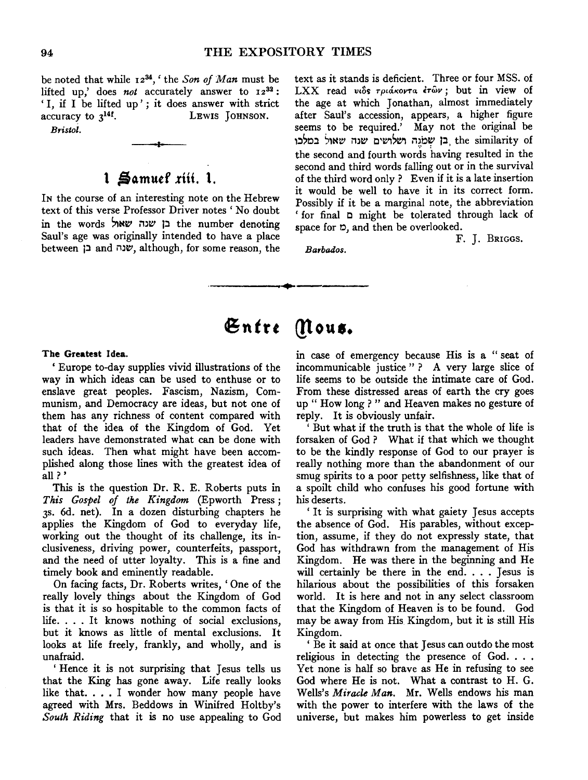be noted that while 1234,' the *Son of Man* must be lifted up,' does *not* accurately answer to  $12^{32}$ : 'I, if I be lifted up'; it does answer with strict accuracy to  $3^{14}$ . LEWIS JOHNSON. accuracy to  $3^{14}$ .

*BYistol.* 

# **1 Samuel riii. 1.**

IN the course of an interesting note on the Hebrew text of this verse Professor Driver notes' No doubt in the words בן שנה שאול the number denoting Saul's age was originally intended to have a place between  $\Box$  and  $\Box$ שנה although, for some reason, the text as it stands is deficient. Three or four MSS. of LXX read viôs  $\tau$ plákovta étωv; but in view of the age at which Jonathan, almost immediately after Saul's accession, appears, a higher figure seems to be required.' May not the original be the similarity of כן שמנה ושלושים שנה שאול במלכו the second and fourth words having resulted in the second and third words falling out or in the survival of the third word only ? Even if it is a late insertion it would be well to have it in its correct form. Possibly if it be a marginal note, the abbreviation ' for final C might be tolerated through lack of space for  $\mathfrak{D}$ , and then be overlooked.

F. J. BRIGGS.

*BaYbados.* 

# Entre Mous.

-----------~-----------

#### The Greatest Idea.

' Europe to-day supplies vivid illustrations of the way in which ideas can be used to enthuse or to enslave great peoples. Fascism, Nazism, Communism, and Democracy are ideas, but not one of them has any richness of content compared with that of the idea of the Kingdom of God. Yet leaders have demonstrated what can be done with such ideas. Then what might have been accomplished along those lines with the greatest idea of all?'

This is the question Dr. R. E. Roberts puts in *This Gospel of the Kingdom* (Epworth Press; 3s. 6d. net). In a dozen disturbing chapters he applies the Kingdom of God to everyday life, working out the thought of its challenge, its inelusiveness, driving power, counterfeits, passport, and the need of utter loyalty. This is a fine and timely book and eminently readable.

On facing facts, Dr. Roberts writes, 'One of the really lovely things about the Kingdom of God is that it is so hospitable to the common facts of life. . . . It knows nothing of social exclusions, but it knows as little of mental exclusions. It looks at life freely, frankly, and wholly, and is unafraid.

' Hence it is not surprising that Jesus tells us that the King has gone away. Life really looks like that.... I wonder how many people have agreed with Mrs. Beddows in Winifred Holtby's *South Riding* that it is no use appealing to God in case of emergency because His is a " seat of incommunicable justice " ? A very large slice of life seems to be outside the intimate care of God. From these distressed areas of earth the cry goes up " How long ? " and Heaven makes no gesture of reply. It is obviously unfair.

But what if the truth is that the whole of life is forsaken of God ? What if that which we thought to be the kindly response of God to our prayer is really nothing more than the abandonment of our smug spirits to a poor petty selfishness, like that of a spoilt child who confuses his good fortune with his deserts.

' It is surprising with what gaiety Jesus accepts the absence of God. His parables, without exception, assume, if they do not expressly state, that God has withdrawn from the management of His Kingdom. He was there in the beginning and He will certainly be there in the end. . . . Jesus is hilarious about the possibilities of this forsaken world. It is here and not in any select classroom that the Kingdom of Heaven is to be found. God may be away from His Kingdom, but it is still His Kingdom.

' Be it said at once that Jesus can outdo the most religious in detecting the presence of God. . . . Yet none is half so brave as He in refusing to see God where He is not. What a contrast to H. G. Wells's *MiYacle Man.* Mr. Wells endows his man with the power to interfere with the laws of the universe, but makes him powerless to get inside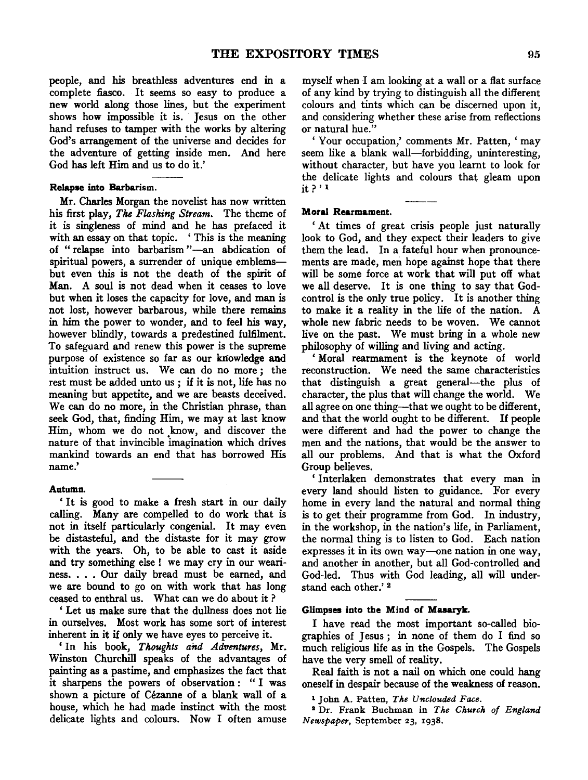people, and his breathless adventures end in a complete fiasco. It seems so easy to produce a new world along those lines, but the experiment shows how impossible it is. Jesus on the other hand refuses to tamper with the works by altering God's arrangement of the universe and decides for the adventure of getting inside men. And here God has left Him and us to do it.'

#### Relapse into Barbarism.

Mr. Charles Morgan the novelist has now written his first play, *The Flashing Stream.* The theme of it is singleness of mind and he has prefaced it with an essay on that topic. 'This is the meaning of "relapse into barbarism"-an abdication of spiritual powers, a surrender of unique emblemsbut even this is not the death of the spirit of Man. A soul is not dead when it ceases to love but when it loses the capacity for love, and man is not lost, however barbarous, while there remains in him the power to wonder, and to feel his way, however blindly, towards a predestined fulfilment. To safeguard and renew this power is the supreme purpose of existence so far as our knowledge and intuition instruct us. We can do no more; the rest must be added unto us ; if it is not, life has no meaning but appetite, and we are beasts deceived. We can do no more, in the Christian phrase, than seek God, that, finding Him, we may at last know Him, whom we do not know, and discover the nature of that invincible imagination which drives mankind towards an end that has borrowed His name.'

#### Autumn.

' It is good to make a fresh start in our daily calling. Many are compelled to do work that is not in itself particularly congenial. It may even be distasteful, and the distaste for it may grow with the years. Oh, to be able to cast it aside and try something else! we may cry in our weariness. . . . Our daily bread must be earned, and we are bound to go on with work that has long ceased to enthral us. What can we do about it ?

' Let us make sure that the dullness does not lie in ourselves. Most work has some sort of interest inherent in it if only we have eyes to perceive it.

'In his book, *Thoughts and Adventures,* Mr. Winston Churchill speaks of the advantages of painting as a pastime, and emphasizes the fact that it sharpens the powers of observation : " I was shown a picture of Cezanne of a blank wall of a house, which he had made instinct with the most delicate lights and colours. Now I often amuse myself when I am looking at a wall or a flat surface of any kind by trying to distinguish all the different colours and tints which can be discerned upon it, and considering whether these arise from reflections or natural hue."

'Your occupation,' comments Mr. Patten, 'may seem like a blank wall—forbidding, uninteresting, without character, but have you learnt to look for the delicate lights and colours that gleam upon it?' 1

#### Moral Rearmament.

' At times of great crisis people just naturally look to God, and they expect their leaders to give them the lead. In a fateful hour when pronouncements are made, men hope against hope that there will be some force at work that will put off what we all deserve. It is one thing to say that Godcontrol is the only true policy. It is another thing to make it a reality in the life of the nation. A whole new fabric needs to be woven. We cannot live on the past. We must bring in a whole new philosophy of willing and living and acting.

' Moral rearmament is the keynote of world reconstruction. We need the same characteristics that distinguish a great general-the plus of character, the plus that will change the world. We all agree on one thing--that we ought to be different, and that the world ought to be different. If people were different and had the power to change the men and the nations, that would be the answer to all our problems. And that is what the Oxford Group believes.

'Interlaken demonstrates that every man in every land should listen to guidance. For every home in every land the natural and normal thing is to get their programme from God. In industry, in the workshop, in the nation's life, in Parliament, the normal thing is to listen to God. Each nation expresses it in its own way--one nation in one way, and another in another, but all God-controlled and God-led. Thus with God leading, all will understand each other.' 2

#### Glimpses into the Mind or **Masaryk.**

I have read the most important so-called biographies of Jesus ; in none of them do I find so much religious life as in the Gospels. The Gospels have the very smell of reality.

Real faith is not a nail on which one could hang oneself in despair because of the weakness of reason.

1 John A. Fatten, *The Unctouded Face.* 

1 Dr. Frank Buchman in *The Church of England Newspaper,* September 23, 1938.